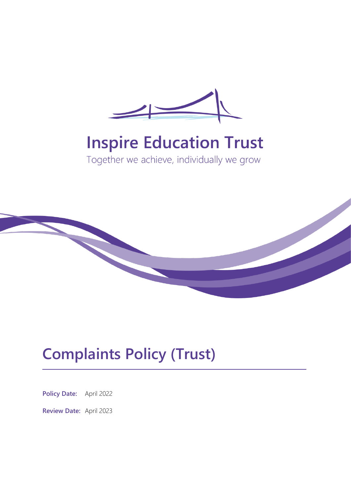

# **Inspire Education Trust**

Together we achieve, individually we grow



## **Complaints Policy (Trust)**

**Policy Date:** April 2022

**Review Date:** April 2023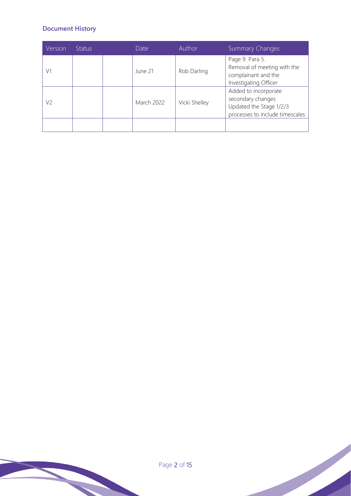#### **Document History**

| Version | <b>Status</b> | Date              | <b>Author</b> | <b>Summary Changes</b>                                                                                  |
|---------|---------------|-------------------|---------------|---------------------------------------------------------------------------------------------------------|
| V1      |               | June 21           | Rob Darling   | Page 9. Para 5.<br>Removal of meeting with the<br>complainant and the<br>Investigating Officer          |
| V2      |               | <b>March 2022</b> | Vicki Shelley | Added to incorporate<br>secondary changes<br>Updated the Stage 1/2/3<br>processes to include timescales |
|         |               |                   |               |                                                                                                         |

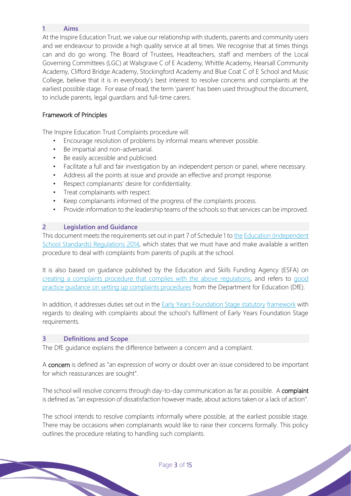#### **1 Aims**

At the Inspire Education Trust, we value our relationship with students, parents and community users and we endeavour to provide a high quality service at all times. We recognise that at times things can and do go wrong. The Board of Trustees, Headteachers, staff and members of the Local Governing Committees (LGC) at Walsgrave C of E Academy, Whittle Academy, Hearsall Community Academy, Clifford Bridge Academy, Stockingford Academy and Blue Coat C of E School and Music College, believe that it is in everybody's best interest to resolve concerns and complaints at the earliest possible stage. For ease of read, the term 'parent' has been used throughout the document, to include parents, legal guardians and full-time carers.

#### Framework of Principles

The Inspire Education Trust Complaints procedure will:

- Encourage resolution of problems by informal means wherever possible.
- Be impartial and non-adversarial.
- Be easily accessible and publicised.
- Facilitate a full and fair investigation by an independent person or panel, where necessary.
- Address all the points at issue and provide an effective and prompt response.
- Respect complainants' desire for confidentiality.
- Treat complainants with respect.
- Keep complainants informed of the progress of the complaints process.
- Provide information to the leadership teams of the schools so that services can be improved.

#### **2 Legislation and Guidance**

This document meets the requirements set out in part 7 of Schedule 1 to the Education (Independent School Standards) Regulations 2014, which states that we must have and make available a written procedure to deal with complaints from parents of pupils at the school.

It is also based on guidance published by the Education and Skills Funding Agency (ESFA) on creating a complaints procedure that complies with the above regulations, and refers to good practice guidance on setting up complaints procedures from the Department for Education (DfE).

In addition, it addresses duties set out in the **Early Years Foundation Stage statutory framework** with regards to dealing with complaints about the school's fulfilment of Early Years Foundation Stage requirements.

#### **3 Definitions and Scope**

The DfE guidance explains the difference between a concern and a complaint.

A concern is defined as "an expression of worry or doubt over an issue considered to be important for which reassurances are sought".

The school will resolve concerns through day-to-day communication as far as possible. A complaint is defined as "an expression of dissatisfaction however made, about actions taken or a lack of action".

The school intends to resolve complaints informally where possible, at the earliest possible stage. There may be occasions when complainants would like to raise their concerns formally. This policy outlines the procedure relating to handling such complaints.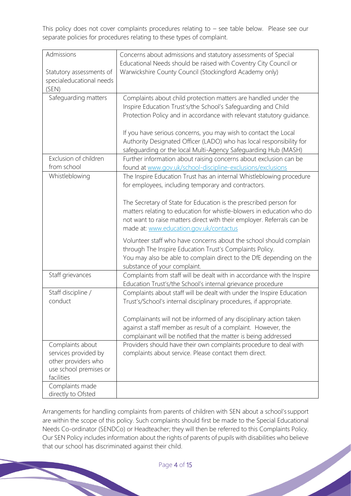This policy does not cover complaints procedures relating to – see table below. Please see our separate policies for procedures relating to these types of complaint.

| Admissions                                                                                              | Concerns about admissions and statutory assessments of Special<br>Educational Needs should be raised with Coventry City Council or                                                                                                                              |  |  |  |
|---------------------------------------------------------------------------------------------------------|-----------------------------------------------------------------------------------------------------------------------------------------------------------------------------------------------------------------------------------------------------------------|--|--|--|
| Statutory assessments of<br>specialeducational needs<br>(SEN)                                           | Warwickshire County Council (Stockingford Academy only)                                                                                                                                                                                                         |  |  |  |
| Safeguarding matters                                                                                    | Complaints about child protection matters are handled under the<br>Inspire Education Trust's/the School's Safeguarding and Child<br>Protection Policy and in accordance with relevant statutory guidance.                                                       |  |  |  |
|                                                                                                         | If you have serious concerns, you may wish to contact the Local<br>Authority Designated Officer (LADO) who has local responsibility for<br>safeguarding or the local Multi-Agency Safeguarding Hub (MASH)                                                       |  |  |  |
| Exclusion of children<br>from school                                                                    | Further information about raising concerns about exclusion can be<br>found at www.gov.uk/school-discipline-exclusions/exclusions                                                                                                                                |  |  |  |
| Whistleblowing                                                                                          | The Inspire Education Trust has an internal Whistleblowing procedure<br>for employees, including temporary and contractors.                                                                                                                                     |  |  |  |
|                                                                                                         | The Secretary of State for Education is the prescribed person for<br>matters relating to education for whistle-blowers in education who do<br>not want to raise matters direct with their employer. Referrals can be<br>made at: www.education.gov.uk/contactus |  |  |  |
|                                                                                                         | Volunteer staff who have concerns about the school should complain<br>through The Inspire Education Trust's Complaints Policy.<br>You may also be able to complain direct to the DfE depending on the<br>substance of your complaint.                           |  |  |  |
| Staff grievances                                                                                        | Complaints from staff will be dealt with in accordance with the Inspire<br>Education Trust's/the School's internal grievance procedure                                                                                                                          |  |  |  |
| Staff discipline /<br>conduct                                                                           | Complaints about staff will be dealt with under the Inspire Education<br>Trust's/School's internal disciplinary procedures, if appropriate.                                                                                                                     |  |  |  |
|                                                                                                         | Complainants will not be informed of any disciplinary action taken<br>against a staff member as result of a complaint. However, the<br>complainant will be notified that the matter is being addressed                                                          |  |  |  |
| Complaints about<br>services provided by<br>other providers who<br>use school premises or<br>facilities | Providers should have their own complaints procedure to deal with<br>complaints about service. Please contact them direct.                                                                                                                                      |  |  |  |
| Complaints made<br>directly to Ofsted                                                                   |                                                                                                                                                                                                                                                                 |  |  |  |

Arrangements for handling complaints from parents of children with SEN about a school's support are within the scope of this policy. Such complaints should first be made to the Special Educational Needs Co-ordinator (SENDCo) or Headteacher; they will then be referred to this Complaints Policy. Our SEN Policy includes information about the rights of parents of pupils with disabilities who believe that our school has discriminated against their child.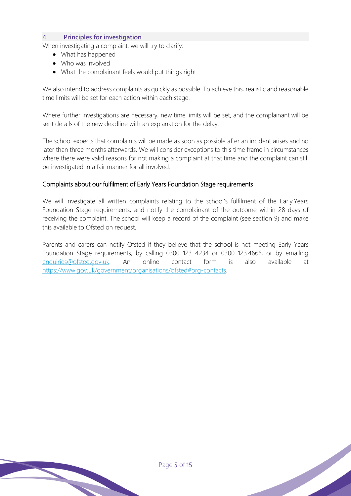#### **4 Principles for investigation**

When investigating a complaint, we will try to clarify:

- What has happened
- Who was involved
- What the complainant feels would put things right

We also intend to address complaints as quickly as possible. To achieve this, realistic and reasonable time limits will be set for each action within each stage.

Where further investigations are necessary, new time limits will be set, and the complainant will be sent details of the new deadline with an explanation for the delay.

The school expects that complaints will be made as soon as possible after an incident arises and no later than three months afterwards. We will consider exceptions to this time frame in circumstances where there were valid reasons for not making a complaint at that time and the complaint can still be investigated in a fair manner for all involved.

#### Complaints about our fulfilment of Early Years Foundation Stage requirements

We will investigate all written complaints relating to the school's fulfilment of the Early Years Foundation Stage requirements, and notify the complainant of the outcome within 28 days of receiving the complaint. The school will keep a record of the complaint (see section 9) and make this available to Ofsted on request.

Parents and carers can notify Ofsted if they believe that the school is not meeting Early Years Foundation Stage requirements, by calling 0300 123 4234 or 0300 123 4666, or by emailing enquiries@ofsted.gov.uk. An online contact form is also available at https://www.gov.uk/government/organisations/ofsted#org-contacts.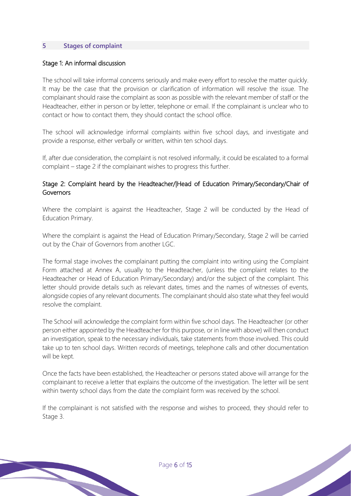#### **5 Stages of complaint**

#### Stage 1: An informal discussion

The school will take informal concerns seriously and make every effort to resolve the matter quickly. It may be the case that the provision or clarification of information will resolve the issue. The complainant should raise the complaint as soon as possible with the relevant member of staff or the Headteacher, either in person or by letter, telephone or email. If the complainant is unclear who to contact or how to contact them, they should contact the school office.

The school will acknowledge informal complaints within five school days, and investigate and provide a response, either verbally or written, within ten school days.

If, after due consideration, the complaint is not resolved informally, it could be escalated to a formal complaint – stage 2 if the complainant wishes to progress this further.

#### Stage 2: Complaint heard by the Headteacher/|Head of Education Primary/Secondary/Chair of Governors

Where the complaint is against the Headteacher, Stage 2 will be conducted by the Head of Education Primary.

Where the complaint is against the Head of Education Primary/Secondary, Stage 2 will be carried out by the Chair of Governors from another LGC.

The formal stage involves the complainant putting the complaint into writing using the Complaint Form attached at Annex A, usually to the Headteacher, (unless the complaint relates to the Headteacher or Head of Education Primary/Secondary) and/or the subject of the complaint. This letter should provide details such as relevant dates, times and the names of witnesses of events, alongside copies of any relevant documents. The complainant should also state what they feel would resolve the complaint.

The School will acknowledge the complaint form within five school days. The Headteacher (or other person either appointed by the Headteacher for this purpose, or in line with above) will then conduct an investigation, speak to the necessary individuals, take statements from those involved. This could take up to ten school days. Written records of meetings, telephone calls and other documentation will be kept.

Once the facts have been established, the Headteacher or persons stated above will arrange for the complainant to receive a letter that explains the outcome of the investigation. The letter will be sent within twenty school days from the date the complaint form was received by the school.

If the complainant is not satisfied with the response and wishes to proceed, they should refer to Stage 3.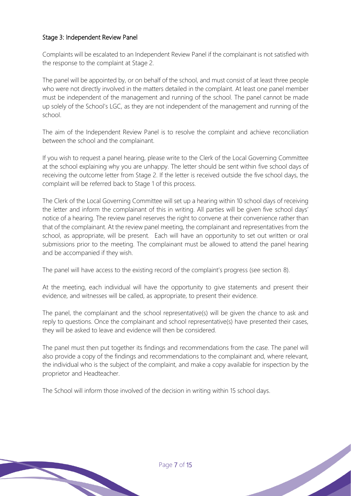#### Stage 3: Independent Review Panel

Complaints will be escalated to an Independent Review Panel if the complainant is not satisfied with the response to the complaint at Stage 2.

The panel will be appointed by, or on behalf of the school, and must consist of at least three people who were not directly involved in the matters detailed in the complaint. At least one panel member must be independent of the management and running of the school. The panel cannot be made up solely of the School's LGC, as they are not independent of the management and running of the school.

The aim of the Independent Review Panel is to resolve the complaint and achieve reconciliation between the school and the complainant.

If you wish to request a panel hearing, please write to the Clerk of the Local Governing Committee at the school explaining why you are unhappy. The letter should be sent within five school days of receiving the outcome letter from Stage 2. If the letter is received outside the five school days, the complaint will be referred back to Stage 1 of this process.

The Clerk of the Local Governing Committee will set up a hearing within 10 school days of receiving the letter and inform the complainant of this in writing. All parties will be given five school days' notice of a hearing. The review panel reserves the right to convene at their convenience rather than that of the complainant. At the review panel meeting, the complainant and representatives from the school, as appropriate, will be present. Each will have an opportunity to set out written or oral submissions prior to the meeting. The complainant must be allowed to attend the panel hearing and be accompanied if they wish.

The panel will have access to the existing record of the complaint's progress (see section 8).

At the meeting, each individual will have the opportunity to give statements and present their evidence, and witnesses will be called, as appropriate, to present their evidence.

The panel, the complainant and the school representative(s) will be given the chance to ask and reply to questions. Once the complainant and school representative(s) have presented their cases, they will be asked to leave and evidence will then be considered.

The panel must then put together its findings and recommendations from the case. The panel will also provide a copy of the findings and recommendations to the complainant and, where relevant, the individual who is the subject of the complaint, and make a copy available for inspection by the proprietor and Headteacher.

The School will inform those involved of the decision in writing within 15 school days.

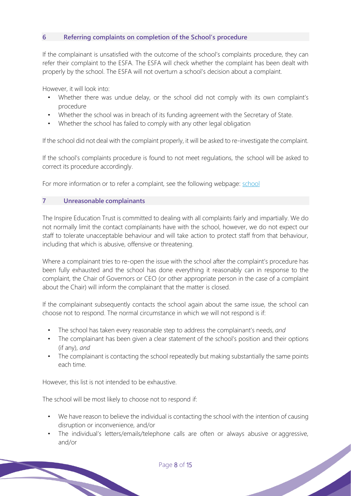#### **6 Referring complaints on completion of the School's procedure**

If the complainant is unsatisfied with the outcome of the school's complaints procedure, they can refer their complaint to the ESFA. The ESFA will check whether the complaint has been dealt with properly by the school. The ESFA will not overturn a school's decision about a complaint.

However, it will look into:

- Whether there was undue delay, or the school did not comply with its own complaint's procedure
- Whether the school was in breach of its funding agreement with the Secretary of State.
- Whether the school has failed to comply with any other legal obligation

If the school did not deal with the complaint properly, it will be asked to re-investigate the complaint.

If the school's complaints procedure is found to not meet regulations, the school will be asked to correct its procedure accordingly.

For more information or to refer a complaint, see the following webpage: school

#### **7 Unreasonable complainants**

The Inspire Education Trust is committed to dealing with all complaints fairly and impartially. We do not normally limit the contact complainants have with the school, however, we do not expect our staff to tolerate unacceptable behaviour and will take action to protect staff from that behaviour, including that which is abusive, offensive or threatening.

Where a complainant tries to re-open the issue with the school after the complaint's procedure has been fully exhausted and the school has done everything it reasonably can in response to the complaint, the Chair of Governors or CEO (or other appropriate person in the case of a complaint about the Chair) will inform the complainant that the matter is closed.

If the complainant subsequently contacts the school again about the same issue, the school can choose not to respond. The normal circumstance in which we will not respond is if:

- The school has taken every reasonable step to address the complainant's needs, *and*
- The complainant has been given a clear statement of the school's position and their options (if any), *and*
- The complainant is contacting the school repeatedly but making substantially the same points each time.

However, this list is not intended to be exhaustive.

The school will be most likely to choose not to respond if:

- We have reason to believe the individual is contacting the school with the intention of causing disruption or inconvenience, and/or
- The individual's letters/emails/telephone calls are often or always abusive or aggressive, and/or

Page 8 of 15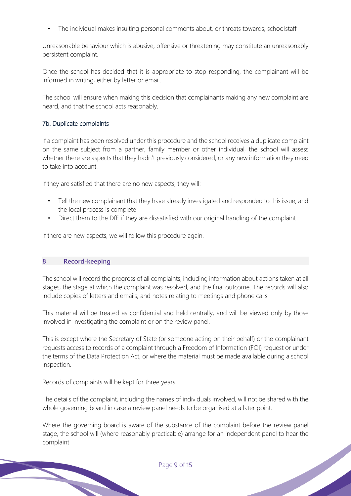The individual makes insulting personal comments about, or threats towards, schoolstaff

Unreasonable behaviour which is abusive, offensive or threatening may constitute an unreasonably persistent complaint.

Once the school has decided that it is appropriate to stop responding, the complainant will be informed in writing, either by letter or email.

The school will ensure when making this decision that complainants making any new complaint are heard, and that the school acts reasonably.

#### 7b. Duplicate complaints

If a complaint has been resolved under this procedure and the school receives a duplicate complaint on the same subject from a partner, family member or other individual, the school will assess whether there are aspects that they hadn't previously considered, or any new information they need to take into account.

If they are satisfied that there are no new aspects, they will:

- Tell the new complainant that they have already investigated and responded to this issue, and the local process is complete
- Direct them to the DfE if they are dissatisfied with our original handling of the complaint

If there are new aspects, we will follow this procedure again.

#### **8 Record-keeping**

The school will record the progress of all complaints, including information about actions taken at all stages, the stage at which the complaint was resolved, and the final outcome. The records will also include copies of letters and emails, and notes relating to meetings and phone calls.

This material will be treated as confidential and held centrally, and will be viewed only by those involved in investigating the complaint or on the review panel.

This is except where the Secretary of State (or someone acting on their behalf) or the complainant requests access to records of a complaint through a Freedom of Information (FOI) request or under the terms of the Data Protection Act, or where the material must be made available during a school inspection.

Records of complaints will be kept for three years.

The details of the complaint, including the names of individuals involved, will not be shared with the whole governing board in case a review panel needs to be organised at a later point.

Where the governing board is aware of the substance of the complaint before the review panel stage, the school will (where reasonably practicable) arrange for an independent panel to hear the complaint.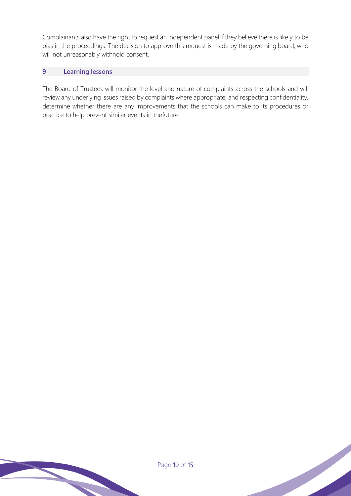Complainants also have the right to request an independent panel if they believe there is likely to be bias in the proceedings. The decision to approve this request is made by the governing board, who will not unreasonably withhold consent.

#### **9 Learning lessons**

The Board of Trustees will monitor the level and nature of complaints across the schools and will review any underlying issues raised by complaints where appropriate, and respecting confidentiality, determine whether there are any improvements that the schools can make to its procedures or practice to help prevent similar events in thefuture.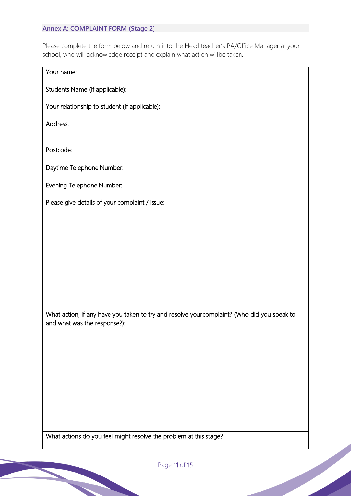#### **Annex A: COMPLAINT FORM (Stage 2)**

Please complete the form below and return it to the Head teacher's PA/Office Manager at your school, who will acknowledge receipt and explain what action willbe taken.

#### Your name:

Students Name (If applicable):

Your relationship to student (If applicable):

Address:

Postcode:

Daytime Telephone Number:

Evening Telephone Number:

Please give details of your complaint / issue:

What action, if any have you taken to try and resolve your complaint? (Who did you speak to and what was the response?):

What actions do you feel might resolve the problem at this stage?

Page 11 of 15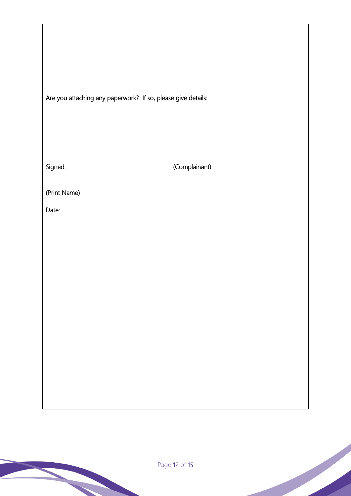Are you attaching any paperwork? If so, please give details:

Signed:

(Complainant)

(Print Name)

Date: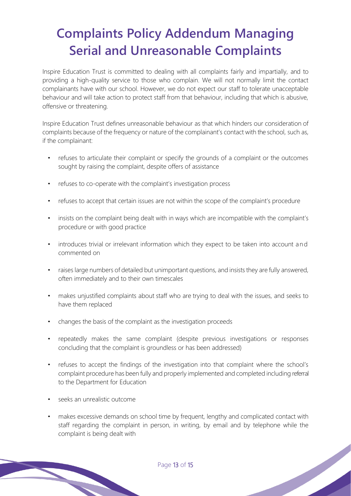### **Complaints Policy Addendum Managing Serial and Unreasonable Complaints**

Inspire Education Trust is committed to dealing with all complaints fairly and impartially, and to providing a high-quality service to those who complain. We will not normally limit the contact complainants have with our school. However, we do not expect our staff to tolerate unacceptable behaviour and will take action to protect staff from that behaviour, including that which is abusive, offensive or threatening.

Inspire Education Trust defines unreasonable behaviour as that which hinders our consideration of complaints because of the frequency or nature of the complainant's contact with the school, such as, if the complainant:

- refuses to articulate their complaint or specify the grounds of a complaint or the outcomes sought by raising the complaint, despite offers of assistance
- refuses to co-operate with the complaint's investigation process
- refuses to accept that certain issues are not within the scope of the complaint's procedure
- insists on the complaint being dealt with in ways which are incompatible with the complaint's procedure or with good practice
- introduces trivial or irrelevant information which they expect to be taken into account and commented on
- raises large numbers of detailed but unimportant questions, and insists they are fully answered, often immediately and to their own timescales
- makes unjustified complaints about staff who are trying to deal with the issues, and seeks to have them replaced
- changes the basis of the complaint as the investigation proceeds
- repeatedly makes the same complaint (despite previous investigations or responses concluding that the complaint is groundless or has been addressed)
- refuses to accept the findings of the investigation into that complaint where the school's complaint procedure has been fully and properly implemented and completed including referral to the Department for Education
- seeks an unrealistic outcome
- makes excessive demands on school time by frequent, lengthy and complicated contact with staff regarding the complaint in person, in writing, by email and by telephone while the complaint is being dealt with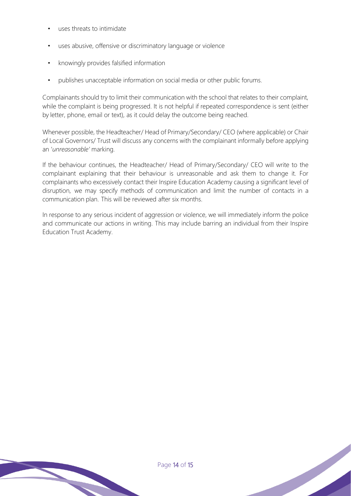- uses threats to intimidate
- uses abusive, offensive or discriminatory language or violence
- knowingly provides falsified information
- publishes unacceptable information on social media or other public forums.

Complainants should try to limit their communication with the school that relates to their complaint, while the complaint is being progressed. It is not helpful if repeated correspondence is sent (either by letter, phone, email or text), as it could delay the outcome being reached.

Whenever possible, the Headteacher/ Head of Primary/Secondary/ CEO (where applicable) or Chair of Local Governors/ Trust will discuss any concerns with the complainant informally before applying an '*unreasonable'* marking.

If the behaviour continues, the Headteacher/ Head of Primary/Secondary/ CEO will write to the complainant explaining that their behaviour is unreasonable and ask them to change it. For complainants who excessively contact their Inspire Education Academy causing a significant level of disruption, we may specify methods of communication and limit the number of contacts in a communication plan. This will be reviewed after six months.

In response to any serious incident of aggression or violence, we will immediately inform the police and communicate our actions in writing. This may include barring an individual from their Inspire Education Trust Academy.